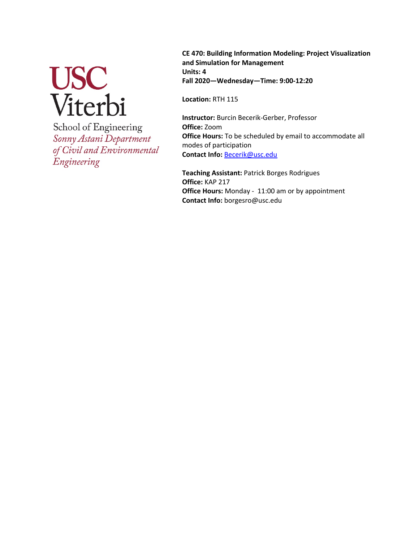# USC<br>Viterbi

School of Engineering Sonny Astani Department of Civil and Environmental Engineering

**CE 470: Building Information Modeling: Project Visualization and Simulation for Management Units: 4 Fall 2020—Wednesday—Time: 9:00-12:20**

**Location:** RTH 115

**Instructor:** Burcin Becerik-Gerber, Professor **Office:** Zoom **Office Hours:** To be scheduled by email to accommodate all modes of participation **Contact Info:** Becerik@usc.edu

**Teaching Assistant:** Patrick Borges Rodrigues **Office:** KAP 217 **Office Hours:** Monday - 11:00 am or by appointment **Contact Info:** borgesro@usc.edu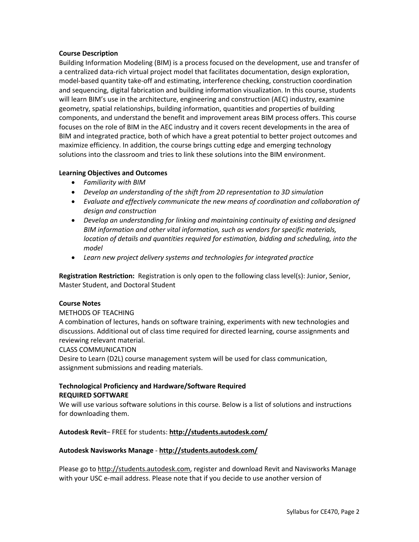### **Course Description**

Building Information Modeling (BIM) is a process focused on the development, use and transfer of a centralized data-rich virtual project model that facilitates documentation, design exploration, model-based quantity take-off and estimating, interference checking, construction coordination and sequencing, digital fabrication and building information visualization. In this course, students will learn BIM's use in the architecture, engineering and construction (AEC) industry, examine geometry, spatial relationships, building information, quantities and properties of building components, and understand the benefit and improvement areas BIM process offers. This course focuses on the role of BIM in the AEC industry and it covers recent developments in the area of BIM and integrated practice, both of which have a great potential to better project outcomes and maximize efficiency. In addition, the course brings cutting edge and emerging technology solutions into the classroom and tries to link these solutions into the BIM environment.

#### **Learning Objectives and Outcomes**

- *Familiarity with BIM*
- *Develop an understanding of the shift from 2D representation to 3D simulation*
- *Evaluate and effectively communicate the new means of coordination and collaboration of design and construction*
- *Develop an understanding for linking and maintaining continuity of existing and designed BIM information and other vital information, such as vendors for specific materials, location of details and quantities required for estimation, bidding and scheduling, into the model*
- *Learn new project delivery systems and technologies for integrated practice*

**Registration Restriction:** Registration is only open to the following class level(s): Junior, Senior, Master Student, and Doctoral Student

# **Course Notes**

# METHODS OF TEACHING

A combination of lectures, hands on software training, experiments with new technologies and discussions. Additional out of class time required for directed learning, course assignments and reviewing relevant material.

#### CLASS COMMUNICATION

Desire to Learn (D2L) course management system will be used for class communication, assignment submissions and reading materials.

# **Technological Proficiency and Hardware/Software Required REQUIRED SOFTWARE**

We will use various software solutions in this course. Below is a list of solutions and instructions for downloading them.

# **Autodesk Revit**– FREE for students: **http://students.autodesk.com/**

# **Autodesk Navisworks Manage** - **http://students.autodesk.com/**

Please go to http://students.autodesk.com, register and download Revit and Navisworks Manage with your USC e-mail address. Please note that if you decide to use another version of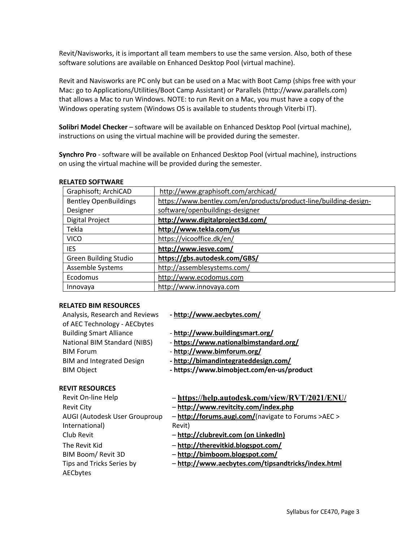Revit/Navisworks, it is important all team members to use the same version. Also, both of these software solutions are available on Enhanced Desktop Pool (virtual machine).

Revit and Navisworks are PC only but can be used on a Mac with Boot Camp (ships free with your Mac: go to Applications/Utilities/Boot Camp Assistant) or Parallels (http://www.parallels.com) that allows a Mac to run Windows. NOTE: to run Revit on a Mac, you must have a copy of the Windows operating system (Windows OS is available to students through Viterbi IT).

**Solibri Model Checker** – software will be available on Enhanced Desktop Pool (virtual machine), instructions on using the virtual machine will be provided during the semester.

**Synchro Pro** - software will be available on Enhanced Desktop Pool (virtual machine), instructions on using the virtual machine will be provided during the semester.

| Graphisoft; ArchiCAD         | http://www.graphisoft.com/archicad/                               |  |
|------------------------------|-------------------------------------------------------------------|--|
| <b>Bentley OpenBuildings</b> | https://www.bentley.com/en/products/product-line/building-design- |  |
| Designer                     | software/openbuildings-designer                                   |  |
| Digital Project              | http://www.digitalproject3d.com/                                  |  |
| Tekla                        | http://www.tekla.com/us                                           |  |
| <b>VICO</b>                  | https://vicooffice.dk/en/                                         |  |
| <b>IES</b>                   | http://www.iesve.com/                                             |  |
| <b>Green Building Studio</b> | https://gbs.autodesk.com/GBS/                                     |  |
| Assemble Systems             | http://assemblesystems.com/                                       |  |
| Ecodomus                     | http://www.ecodomus.com                                           |  |
| Innovaya                     | http://www.innovaya.com                                           |  |

#### **RELATED SOFTWARE**

#### **RELATED BIM RESOURCES**

AUGI (Autodesk User Grouproup

Tips and Tricks Series by

International)

**AECbytes** 

| Analysis, Research and Reviews                                   | - http://www.aecbytes.com/                     |
|------------------------------------------------------------------|------------------------------------------------|
| of AEC Technology - AECbytes                                     |                                                |
| <b>Building Smart Alliance</b>                                   | - http://www.buildingsmart.org/                |
| National BIM Standard (NIBS)                                     | - https://www.nationalbimstandard.org/         |
| <b>BIM Forum</b>                                                 | - http://www.bimforum.org/                     |
| <b>BIM and Integrated Design</b>                                 | - http://bimandintegrateddesign.com/           |
| <b>BIM Object</b>                                                | - https://www.bimobject.com/en-us/product      |
| <b>REVIT RESOURCES</b>                                           |                                                |
| Revit On-line Help                                               | - https://help.autodesk.com/view/RVT/2021/ENU/ |
| textual formace martituding a sua final are other<br>$P = 11.71$ |                                                |

- Revit City **http://www.revitcity.com/index.php**
	- **http://forums.augi.com/**(navigate to Forums >AEC > Revit)
- Club Revit **http://clubrevit.com (on LinkedIn)**
- The Revit Kid **http://therevitkid.blogspot.com/**
- BIM Boom/ Revit 3D **http://bimboom.blogspot.com/**
	- **http://www.aecbytes.com/tipsandtricks/index.html**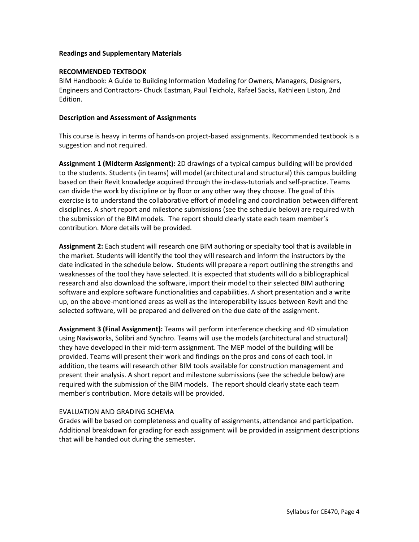#### **Readings and Supplementary Materials**

#### **RECOMMENDED TEXTBOOK**

BIM Handbook: A Guide to Building Information Modeling for Owners, Managers, Designers, Engineers and Contractors- Chuck Eastman, Paul Teicholz, Rafael Sacks, Kathleen Liston, 2nd Edition.

#### **Description and Assessment of Assignments**

This course is heavy in terms of hands-on project-based assignments. Recommended textbook is a suggestion and not required.

**Assignment 1 (Midterm Assignment):** 2D drawings of a typical campus building will be provided to the students. Students (in teams) will model (architectural and structural) this campus building based on their Revit knowledge acquired through the in-class-tutorials and self-practice. Teams can divide the work by discipline or by floor or any other way they choose. The goal of this exercise is to understand the collaborative effort of modeling and coordination between different disciplines. A short report and milestone submissions (see the schedule below) are required with the submission of the BIM models. The report should clearly state each team member's contribution. More details will be provided.

**Assignment 2:** Each student will research one BIM authoring or specialty tool that is available in the market. Students will identify the tool they will research and inform the instructors by the date indicated in the schedule below. Students will prepare a report outlining the strengths and weaknesses of the tool they have selected. It is expected that students will do a bibliographical research and also download the software, import their model to their selected BIM authoring software and explore software functionalities and capabilities. A short presentation and a write up, on the above-mentioned areas as well as the interoperability issues between Revit and the selected software, will be prepared and delivered on the due date of the assignment.

**Assignment 3 (Final Assignment):** Teams will perform interference checking and 4D simulation using Navisworks, Solibri and Synchro. Teams will use the models (architectural and structural) they have developed in their mid-term assignment. The MEP model of the building will be provided. Teams will present their work and findings on the pros and cons of each tool. In addition, the teams will research other BIM tools available for construction management and present their analysis. A short report and milestone submissions (see the schedule below) are required with the submission of the BIM models. The report should clearly state each team member's contribution. More details will be provided.

# EVALUATION AND GRADING SCHEMA

Grades will be based on completeness and quality of assignments, attendance and participation. Additional breakdown for grading for each assignment will be provided in assignment descriptions that will be handed out during the semester.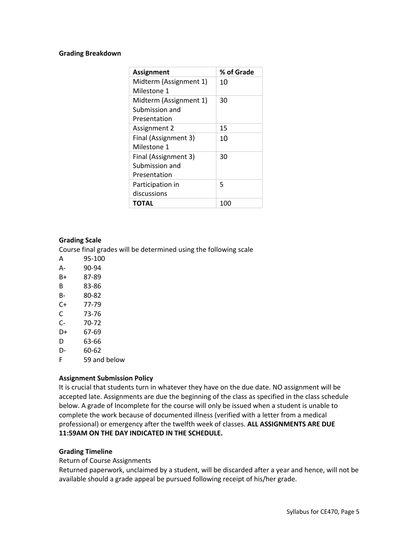#### **Grading Breakdown**

| Assignment             | % of Grade |
|------------------------|------------|
| Midterm (Assignment 1) | 10         |
| Milestone 1            |            |
| Midterm (Assignment 1) | 30         |
| Submission and         |            |
| Presentation           |            |
| Assignment 2           | 15         |
| Final (Assignment 3)   | 10         |
| Milestone 1            |            |
| Final (Assignment 3)   | 30         |
| Submission and         |            |
| Presentation           |            |
| Participation in       | 5          |
| discussions            |            |
| ΤΟΤΑL                  | 100        |

#### **Grading Scale**

Course final grades will be determined using the following scale

- A 95-100
- A- 90-94
- B+ 87-89
- B 83-86
- B- 80-82
- C+ 77-79
- C 73-76
- C- 70-72
- D+ 67-69
- D 63-66
- D- 60-62
- F 59 and below

#### **Assignment Submission Policy**

It is crucial that students turn in whatever they have on the due date. NO assignment will be accepted late. Assignments are due the beginning of the class as specified in the class schedule below. A grade of Incomplete for the course will only be issued when a student is unable to complete the work because of documented illness (verified with a letter from a medical professional) or emergency after the twelfth week of classes. **ALL ASSIGNMENTS ARE DUE 11:59AM ON THE DAY INDICATED IN THE SCHEDULE.**

# **Grading Timeline**

#### Return of Course Assignments

Returned paperwork, unclaimed by a student, will be discarded after a year and hence, will not be available should a grade appeal be pursued following receipt of his/her grade.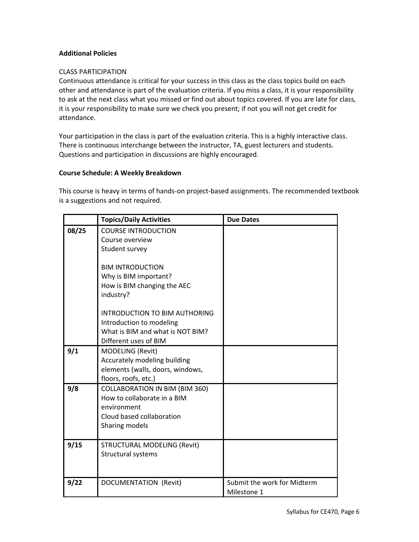# **Additional Policies**

## CLASS PARTICIPATION

Continuous attendance is critical for your success in this class as the class topics build on each other and attendance is part of the evaluation criteria. If you miss a class, it is your responsibility to ask at the next class what you missed or find out about topics covered. If you are late for class, it is your responsibility to make sure we check you present; if not you will not get credit for attendance.

Your participation in the class is part of the evaluation criteria. This is a highly interactive class. There is continuous interchange between the instructor, TA, guest lecturers and students. Questions and participation in discussions are highly encouraged.

### **Course Schedule: A Weekly Breakdown**

This course is heavy in terms of hands-on project-based assignments. The recommended textbook is a suggestions and not required.

|       | <b>Topics/Daily Activities</b>                                                                                                     | <b>Due Dates</b>                           |
|-------|------------------------------------------------------------------------------------------------------------------------------------|--------------------------------------------|
| 08/25 | <b>COURSE INTRODUCTION</b><br>Course overview<br>Student survey                                                                    |                                            |
|       | <b>BIM INTRODUCTION</b><br>Why is BIM important?<br>How is BIM changing the AEC<br>industry?                                       |                                            |
|       | INTRODUCTION TO BIM AUTHORING<br>Introduction to modeling<br>What is BIM and what is NOT BIM?<br>Different uses of BIM             |                                            |
| 9/1   | MODELING (Revit)<br>Accurately modeling building<br>elements (walls, doors, windows,<br>floors, roofs, etc.)                       |                                            |
| 9/8   | <b>COLLABORATION IN BIM (BIM 360)</b><br>How to collaborate in a BIM<br>environment<br>Cloud based collaboration<br>Sharing models |                                            |
| 9/15  | <b>STRUCTURAL MODELING (Revit)</b><br>Structural systems                                                                           |                                            |
| 9/22  | <b>DOCUMENTATION (Revit)</b>                                                                                                       | Submit the work for Midterm<br>Milestone 1 |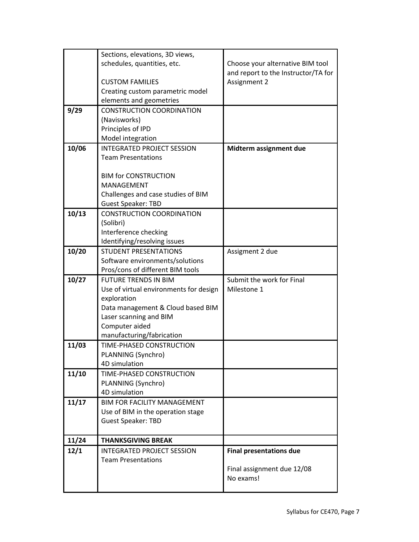|       | Sections, elevations, 3D views,                |                                     |
|-------|------------------------------------------------|-------------------------------------|
|       | schedules, quantities, etc.                    | Choose your alternative BIM tool    |
|       |                                                | and report to the Instructor/TA for |
|       | <b>CUSTOM FAMILIES</b>                         | Assignment 2                        |
|       | Creating custom parametric model               |                                     |
|       | elements and geometries                        |                                     |
| 9/29  | <b>CONSTRUCTION COORDINATION</b>               |                                     |
|       | (Navisworks)                                   |                                     |
|       | Principles of IPD                              |                                     |
|       | Model integration                              |                                     |
| 10/06 | <b>INTEGRATED PROJECT SESSION</b>              | Midterm assignment due              |
|       | <b>Team Presentations</b>                      |                                     |
|       |                                                |                                     |
|       | <b>BIM for CONSTRUCTION</b>                    |                                     |
|       | MANAGEMENT                                     |                                     |
|       | Challenges and case studies of BIM             |                                     |
|       | <b>Guest Speaker: TBD</b>                      |                                     |
| 10/13 | <b>CONSTRUCTION COORDINATION</b>               |                                     |
|       | (Solibri)                                      |                                     |
|       | Interference checking                          |                                     |
|       | Identifying/resolving issues                   |                                     |
| 10/20 | <b>STUDENT PRESENTATIONS</b>                   | Assigment 2 due                     |
|       | Software environments/solutions                |                                     |
|       | Pros/cons of different BIM tools               |                                     |
| 10/27 | <b>FUTURE TRENDS IN BIM</b>                    | Submit the work for Final           |
|       | Use of virtual environments for design         | Milestone 1                         |
|       | exploration                                    |                                     |
|       | Data management & Cloud based BIM              |                                     |
|       | Laser scanning and BIM                         |                                     |
|       | Computer aided                                 |                                     |
|       | manufacturing/fabrication                      |                                     |
| 11/03 | TIME-PHASED CONSTRUCTION<br>PLANNING (Synchro) |                                     |
|       | 4D simulation                                  |                                     |
| 11/10 | TIME-PHASED CONSTRUCTION                       |                                     |
|       | PLANNING (Synchro)                             |                                     |
|       | 4D simulation                                  |                                     |
| 11/17 | <b>BIM FOR FACILITY MANAGEMENT</b>             |                                     |
|       | Use of BIM in the operation stage              |                                     |
|       | <b>Guest Speaker: TBD</b>                      |                                     |
|       |                                                |                                     |
| 11/24 | <b>THANKSGIVING BREAK</b>                      |                                     |
| 12/1  | <b>INTEGRATED PROJECT SESSION</b>              | <b>Final presentations due</b>      |
|       | <b>Team Presentations</b>                      |                                     |
|       |                                                | Final assignment due 12/08          |
|       |                                                | No exams!                           |
|       |                                                |                                     |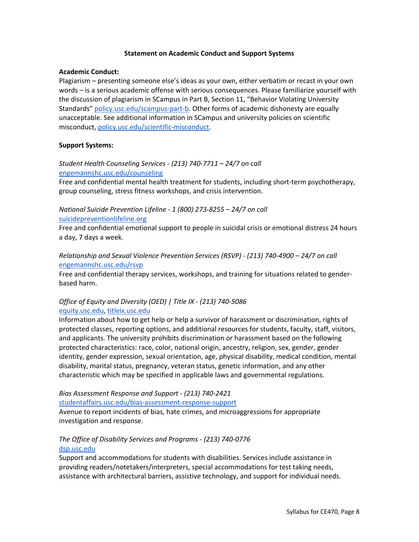#### **Statement on Academic Conduct and Support Systems**

#### **Academic Conduct:**

Plagiarism – presenting someone else's ideas as your own, either verbatim or recast in your own words – is a serious academic offense with serious consequences. Please familiarize yourself with the discussion of plagiarism in SCampus in Part B, Section 11, "Behavior Violating University Standards" policy.usc.edu/scampus-part-b. Other forms of academic dishonesty are equally unacceptable. See additional information in SCampus and university policies on scientific misconduct, policy.usc.edu/scientific-misconduct.

# **Support Systems:**

# *Student Health Counseling Services - (213) 740-7711 – 24/7 on call* engemannshc.usc.edu/counseling

Free and confidential mental health treatment for students, including short-term psychotherapy, group counseling, stress fitness workshops, and crisis intervention.

# *National Suicide Prevention Lifeline - 1 (800) 273-8255 – 24/7 on call* suicidepreventionlifeline.org

Free and confidential emotional support to people in suicidal crisis or emotional distress 24 hours a day, 7 days a week.

# *Relationship and Sexual Violence Prevention Services (RSVP) - (213) 740-4900 – 24/7 on call* engemannshc.usc.edu/rsvp

Free and confidential therapy services, workshops, and training for situations related to genderbased harm.

# *Office of Equity and Diversity (OED) | Title IX - (213) 740-5086* equity.usc.edu, titleix.usc.edu

Information about how to get help or help a survivor of harassment or discrimination, rights of protected classes, reporting options, and additional resources for students, faculty, staff, visitors, and applicants. The university prohibits discrimination or harassment based on the following protected characteristics: race, color, national origin, ancestry, religion, sex, gender, gender identity, gender expression, sexual orientation, age, physical disability, medical condition, mental disability, marital status, pregnancy, veteran status, genetic information, and any other characteristic which may be specified in applicable laws and governmental regulations.

# *Bias Assessment Response and Support - (213) 740-2421*

studentaffairs.usc.edu/bias-assessment-response-support

Avenue to report incidents of bias, hate crimes, and microaggressions for appropriate investigation and response.

# *The Office of Disability Services and Programs - (213) 740-0776* dsp.usc.edu

Support and accommodations for students with disabilities. Services include assistance in providing readers/notetakers/interpreters, special accommodations for test taking needs, assistance with architectural barriers, assistive technology, and support for individual needs.